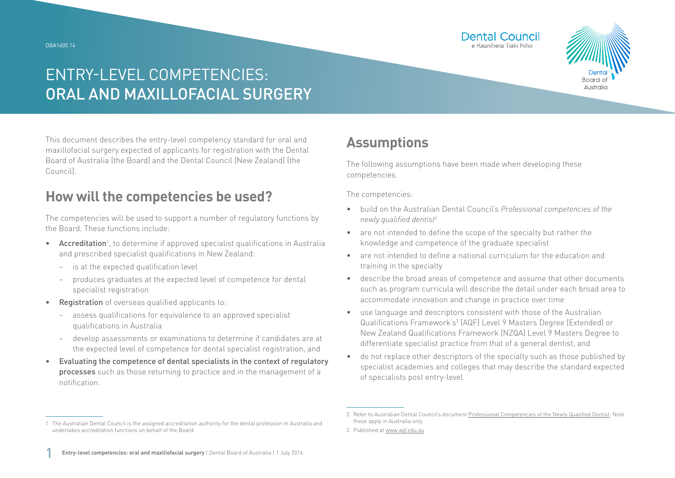DBA1605 14





## ENTRY-LEVEL COMPETENCIES: ORAL AND MAXILLOFACIAL SURGERY

This document describes the entry-level competency standard for oral and maxillofacial surgery expected of applicants for registration with the Dental Board of Australia (the Board) and the Dental Council (New Zealand) (the Council).

### **How will the competencies be used?**

The competencies will be used to support a number of regulatory functions by the Board. These functions include:

- Accreditation<sup>1</sup>, to determine if approved specialist qualifications in Australia and prescribed specialist qualifications in New Zealand:
	- − is at the expected qualification level
	- − produces graduates at the expected level of competence for dental specialist registration
- Registration of overseas qualified applicants to:
	- − assess qualifications for equivalence to an approved specialist qualifications in Australia
	- − develop assessments or examinations to determine if candidates are at the expected level of competence for dental specialist registration, and
- Evaluating the competence of dental specialists in the context of regulatory processes such as those returning to practice and in the management of a notification.

### **Assumptions**

The following assumptions have been made when developing these competencies.

The competencies:

- build on the Australian Dental Council's *Professional competencies of the newly qualified dentist*<sup>2</sup>
- are not intended to define the scope of the specialty but rather the knowledge and competence of the graduate specialist
- are not intended to define a national curriculum for the education and training in the specialty
- describe the broad areas of competence and assume that other documents such as program curricula will describe the detail under each broad area to accommodate innovation and change in practice over time
- use language and descriptors consistent with those of the Australian Qualifications Framework's<sup>3</sup> (AQF) Level 9 Masters Degree (Extended) or New Zealand Qualifications Framework (NZQA) Level 9 Masters Degree to differentiate specialist practice from that of a general dentist, and
- do not replace other descriptors of the specialty such as those published by specialist academies and colleges that may describe the standard expected of specialists post entry-level.

<sup>1</sup> The Australian Dental Council is the assigned accreditation authority for the dental profession in Australia and undertakes accreditation functions on behalf of the Board.

<sup>2</sup> Refer to Australian Dental Council's document [Professional Competencies of the Newly Qualified Dentist.](http://Professional Competencies of the Newly Qualified Dentist) Note these apply in Australia only.

<sup>3</sup> Published at [www.aqf.edu.au](http://www.aqf.edu.au)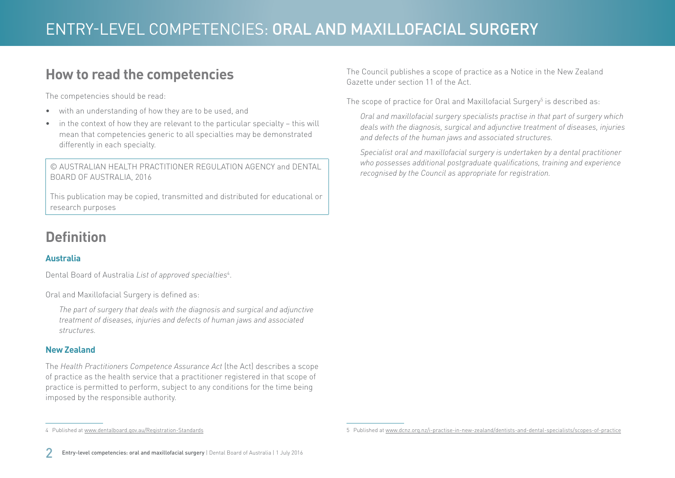### **How to read the competencies**

The competencies should be read:

- with an understanding of how they are to be used, and
- in the context of how they are relevant to the particular specialty this will mean that competencies generic to all specialties may be demonstrated differently in each specialty.

© AUSTRALIAN HEALTH PRACTITIONER REGULATION AGENCY and DENTAL BOARD OF AUSTRALIA, 2016

This publication may be copied, transmitted and distributed for educational or research purposes

### **Definition**

#### **Australia**

Dental Board of Australia *List of approved specialties*<sup>4</sup> .

Oral and Maxillofacial Surgery is defined as:

4 Published at [www.dentalboard.gov.au/Registration-Standards](http://www.dentalboard.gov.au/Registration-Standards.aspx)

*The part of surgery that deals with the diagnosis and surgical and adjunctive treatment of diseases, injuries and defects of human jaws and associated structures.*

#### **New Zealand**

The *Health Practitioners Competence Assurance Act* (the Act) describes a scope of practice as the health service that a practitioner registered in that scope of practice is permitted to perform, subject to any conditions for the time being imposed by the responsible authority.

The Council publishes a scope of practice as a Notice in the New Zealand Gazette under section 11 of the Act.

The scope of practice for Oral and Maxillofacial Surgery $^5$  is described as:

*Oral and maxillofacial surgery specialists practise in that part of surgery which deals with the diagnosis, surgical and adjunctive treatment of diseases, injuries and defects of the human jaws and associated structures.*

*Specialist oral and maxillofacial surgery is undertaken by a dental practitioner who possesses additional postgraduate qualifications, training and experience recognised by the Council as appropriate for registration.*

<sup>5</sup> Published at [www.dcnz.org.nz/i-practise-in-new-zealand/dentists-and-dental-specialists/scopes-of-practice](http://www.dcnz.org.nz/i-practise-in-new-zealand/dentists-and-dental-specialists/scopes-of-practice)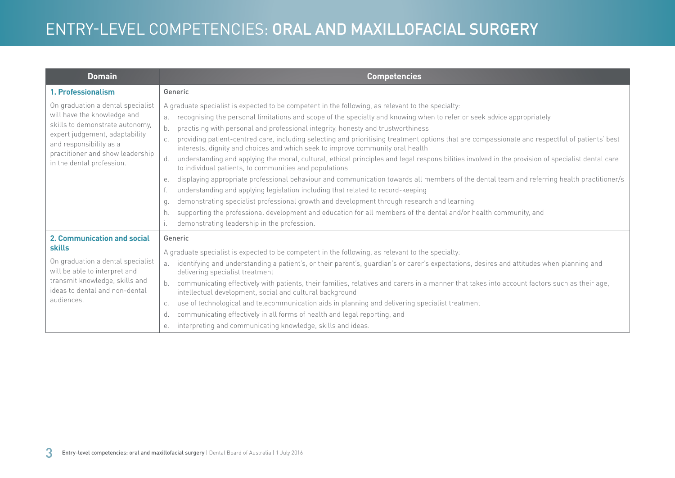| <b>Domain</b>                                                                                                                                                                                                                     | <b>Competencies</b>                                                                                                                                                                                                                                                                                                                                                                                                                                                                                                                                                                                                                                                                                                                                                                                                                                                                                                                                                                                                                                                                                                                                                                                                                                                                                |
|-----------------------------------------------------------------------------------------------------------------------------------------------------------------------------------------------------------------------------------|----------------------------------------------------------------------------------------------------------------------------------------------------------------------------------------------------------------------------------------------------------------------------------------------------------------------------------------------------------------------------------------------------------------------------------------------------------------------------------------------------------------------------------------------------------------------------------------------------------------------------------------------------------------------------------------------------------------------------------------------------------------------------------------------------------------------------------------------------------------------------------------------------------------------------------------------------------------------------------------------------------------------------------------------------------------------------------------------------------------------------------------------------------------------------------------------------------------------------------------------------------------------------------------------------|
| 1. Professionalism                                                                                                                                                                                                                | Generic                                                                                                                                                                                                                                                                                                                                                                                                                                                                                                                                                                                                                                                                                                                                                                                                                                                                                                                                                                                                                                                                                                                                                                                                                                                                                            |
| On graduation a dental specialist<br>will have the knowledge and<br>skills to demonstrate autonomy,<br>expert judgement, adaptability<br>and responsibility as a<br>practitioner and show leadership<br>in the dental profession. | A graduate specialist is expected to be competent in the following, as relevant to the specialty:<br>recognising the personal limitations and scope of the specialty and knowing when to refer or seek advice appropriately<br>practising with personal and professional integrity, honesty and trustworthiness<br>b.<br>providing patient-centred care, including selecting and prioritising treatment options that are compassionate and respectful of patients' best<br>interests, dignity and choices and which seek to improve community oral health<br>understanding and applying the moral, cultural, ethical principles and legal responsibilities involved in the provision of specialist dental care<br>d.<br>to individual patients, to communities and populations<br>displaying appropriate professional behaviour and communication towards all members of the dental team and referring health practitioner/s<br>е.<br>understanding and applying legislation including that related to record-keeping<br>demonstrating specialist professional growth and development through research and learning<br>q.<br>supporting the professional development and education for all members of the dental and/or health community, and<br>h.<br>demonstrating leadership in the profession. |
| <b>2. Communication and social</b><br>skills<br>On graduation a dental specialist<br>will be able to interpret and<br>transmit knowledge, skills and<br>ideas to dental and non-dental<br>audiences.                              | Generic<br>A graduate specialist is expected to be competent in the following, as relevant to the specialty:<br>identifying and understanding a patient's, or their parent's, guardian's or carer's expectations, desires and attitudes when planning and<br>a.<br>delivering specialist treatment<br>communicating effectively with patients, their families, relatives and carers in a manner that takes into account factors such as their age,<br>intellectual development, social and cultural background<br>use of technological and telecommunication aids in planning and delivering specialist treatment<br>C.<br>communicating effectively in all forms of health and legal reporting, and<br>d.<br>interpreting and communicating knowledge, skills and ideas.<br>е.                                                                                                                                                                                                                                                                                                                                                                                                                                                                                                                    |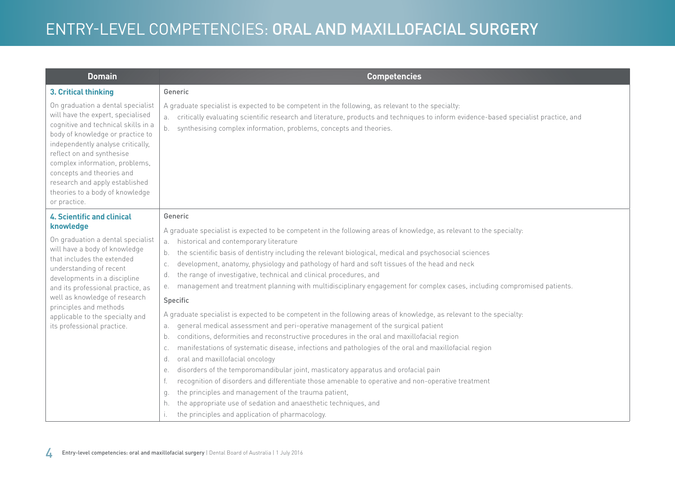| <b>Domain</b>                                                                                                                                                                                                                                                                                                                                                                  | <b>Competencies</b>                                                                                                                                                                                                                                                                                                                                                                                                                                                                                                                                                                                                                                                                                                                                                                                                                                                                                                                                                                                                                                                                                                                                                                                                                                                                                                                                                               |
|--------------------------------------------------------------------------------------------------------------------------------------------------------------------------------------------------------------------------------------------------------------------------------------------------------------------------------------------------------------------------------|-----------------------------------------------------------------------------------------------------------------------------------------------------------------------------------------------------------------------------------------------------------------------------------------------------------------------------------------------------------------------------------------------------------------------------------------------------------------------------------------------------------------------------------------------------------------------------------------------------------------------------------------------------------------------------------------------------------------------------------------------------------------------------------------------------------------------------------------------------------------------------------------------------------------------------------------------------------------------------------------------------------------------------------------------------------------------------------------------------------------------------------------------------------------------------------------------------------------------------------------------------------------------------------------------------------------------------------------------------------------------------------|
| 3. Critical thinking                                                                                                                                                                                                                                                                                                                                                           | Generic                                                                                                                                                                                                                                                                                                                                                                                                                                                                                                                                                                                                                                                                                                                                                                                                                                                                                                                                                                                                                                                                                                                                                                                                                                                                                                                                                                           |
| On graduation a dental specialist<br>will have the expert, specialised<br>cognitive and technical skills in a<br>body of knowledge or practice to<br>independently analyse critically,<br>reflect on and synthesise<br>complex information, problems,<br>concepts and theories and<br>research and apply established<br>theories to a body of knowledge<br>or practice.        | A graduate specialist is expected to be competent in the following, as relevant to the specialty:<br>critically evaluating scientific research and literature, products and techniques to inform evidence-based specialist practice, and<br>a.<br>synthesising complex information, problems, concepts and theories.<br>b.                                                                                                                                                                                                                                                                                                                                                                                                                                                                                                                                                                                                                                                                                                                                                                                                                                                                                                                                                                                                                                                        |
| <b>4. Scientific and clinical</b><br>knowledge<br>On graduation a dental specialist<br>will have a body of knowledge<br>that includes the extended<br>understanding of recent<br>developments in a discipline<br>and its professional practice, as<br>well as knowledge of research<br>principles and methods<br>applicable to the specialty and<br>its professional practice. | Generic<br>A graduate specialist is expected to be competent in the following areas of knowledge, as relevant to the specialty:<br>historical and contemporary literature<br>a.<br>the scientific basis of dentistry including the relevant biological, medical and psychosocial sciences<br>b.<br>development, anatomy, physiology and pathology of hard and soft tissues of the head and neck<br>C.<br>the range of investigative, technical and clinical procedures, and<br>d.<br>management and treatment planning with multidisciplinary engagement for complex cases, including compromised patients.<br>е.<br>Specific<br>A graduate specialist is expected to be competent in the following areas of knowledge, as relevant to the specialty:<br>general medical assessment and peri-operative management of the surgical patient<br>a.<br>conditions, deformities and reconstructive procedures in the oral and maxillofacial region<br>b.<br>manifestations of systematic disease, infections and pathologies of the oral and maxillofacial region<br>C.<br>oral and maxillofacial oncology<br>d.<br>disorders of the temporomandibular joint, masticatory apparatus and orofacial pain<br>е.<br>recognition of disorders and differentiate those amenable to operative and non-operative treatment<br>f.<br>the principles and management of the trauma patient,<br>q. |
|                                                                                                                                                                                                                                                                                                                                                                                | the appropriate use of sedation and anaesthetic techniques, and<br>h.<br>the principles and application of pharmacology.<br>i.                                                                                                                                                                                                                                                                                                                                                                                                                                                                                                                                                                                                                                                                                                                                                                                                                                                                                                                                                                                                                                                                                                                                                                                                                                                    |